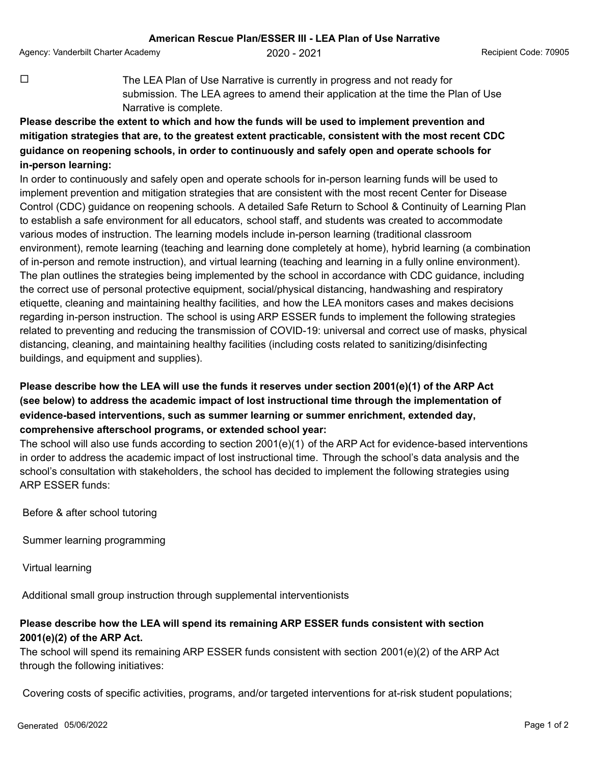Agency: Vanderbilt Charter Academy  $2020 - 2021$  Agency: Vanderbilt Code: 70905

 $\Box$  The LEA Plan of Use Narrative is currently in progress and not ready for submission. The LEA agrees to amend their application at the time the Plan of Use Narrative is complete.

## **Please describe the extent to which and how the funds will be used to implement prevention and mitigation strategies that are, to the greatest extent practicable, consistent with the most recent CDC guidance on reopening schools, in order to continuously and safely open and operate schools for in-person learning:**

In order to continuously and safely open and operate schools for in-person learning funds will be used to implement prevention and mitigation strategies that are consistent with the most recent Center for Disease Control (CDC) guidance on reopening schools. A detailed Safe Return to School & Continuity of Learning Plan to establish a safe environment for all educators, school staff, and students was created to accommodate various modes of instruction. The learning models include in-person learning (traditional classroom environment), remote learning (teaching and learning done completely at home), hybrid learning (a combination of in-person and remote instruction), and virtual learning (teaching and learning in a fully online environment). The plan outlines the strategies being implemented by the school in accordance with CDC guidance, including the correct use of personal protective equipment, social/physical distancing, handwashing and respiratory etiquette, cleaning and maintaining healthy facilities, and how the LEA monitors cases and makes decisions regarding in-person instruction. The school is using ARP ESSER funds to implement the following strategies related to preventing and reducing the transmission of COVID-19: universal and correct use of masks, physical distancing, cleaning, and maintaining healthy facilities (including costs related to sanitizing/disinfecting buildings, and equipment and supplies).

## **Please describe how the LEA will use the funds it reserves under section 2001(e)(1) of the ARP Act (see below) to address the academic impact of lost instructional time through the implementation of evidence-based interventions, such as summer learning or summer enrichment, extended day, comprehensive afterschool programs, or extended school year:**

The school will also use funds according to section 2001(e)(1) of the ARP Act for evidence-based interventions in order to address the academic impact of lost instructional time. Through the school's data analysis and the school's consultation with stakeholders, the school has decided to implement the following strategies using ARP ESSER funds:

Before & after school tutoring

Summer learning programming

Virtual learning

Additional small group instruction through supplemental interventionists

## **Please describe how the LEA will spend its remaining ARP ESSER funds consistent with section 2001(e)(2) of the ARP Act.**

The school will spend its remaining ARP ESSER funds consistent with section 2001(e)(2) of the ARP Act through the following initiatives:

Covering costs of specific activities, programs, and/or targeted interventions for at-risk student populations;